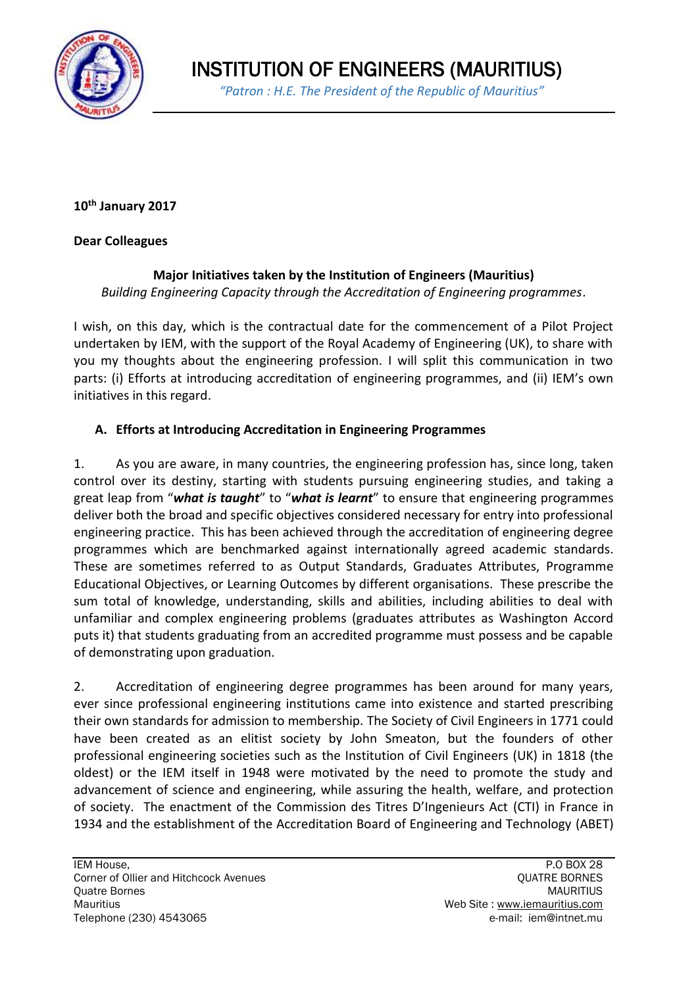

**10th January 2017**

#### **Dear Colleagues**

# **Major Initiatives taken by the Institution of Engineers (Mauritius)**

*Building Engineering Capacity through the Accreditation of Engineering programmes*.

I wish, on this day, which is the contractual date for the commencement of a Pilot Project undertaken by IEM, with the support of the Royal Academy of Engineering (UK), to share with you my thoughts about the engineering profession. I will split this communication in two parts: (i) Efforts at introducing accreditation of engineering programmes, and (ii) IEM's own initiatives in this regard.

# **A. Efforts at Introducing Accreditation in Engineering Programmes**

1. As you are aware, in many countries, the engineering profession has, since long, taken control over its destiny, starting with students pursuing engineering studies, and taking a great leap from "*what is taught*" to "*what is learnt*" to ensure that engineering programmes deliver both the broad and specific objectives considered necessary for entry into professional engineering practice. This has been achieved through the accreditation of engineering degree programmes which are benchmarked against internationally agreed academic standards. These are sometimes referred to as Output Standards, Graduates Attributes, Programme Educational Objectives, or Learning Outcomes by different organisations. These prescribe the sum total of knowledge, understanding, skills and abilities, including abilities to deal with unfamiliar and complex engineering problems (graduates attributes as Washington Accord puts it) that students graduating from an accredited programme must possess and be capable of demonstrating upon graduation.

2. Accreditation of engineering degree programmes has been around for many years, ever since professional engineering institutions came into existence and started prescribing their own standards for admission to membership. The Society of Civil Engineers in 1771 could have been created as an elitist society by John Smeaton, but the founders of other professional engineering societies such as the Institution of Civil Engineers (UK) in 1818 (the oldest) or the IEM itself in 1948 were motivated by the need to promote the study and advancement of science and engineering, while assuring the health, welfare, and protection of society. The enactment of the Commission des Titres D'Ingenieurs Act (CTI) in France in 1934 and the establishment of the Accreditation Board of Engineering and Technology (ABET)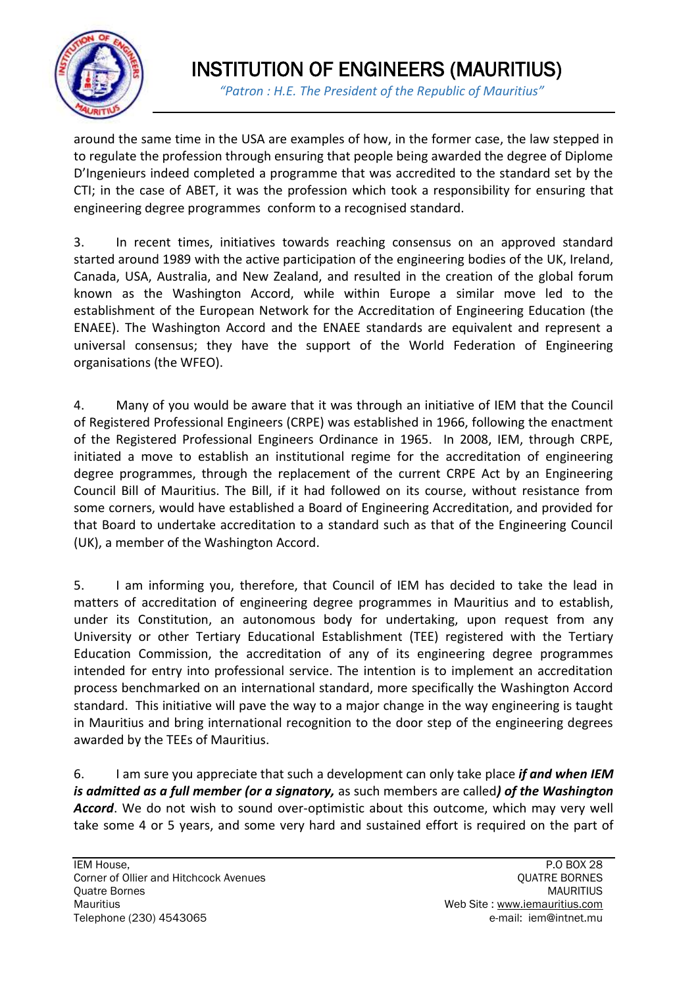

 *"Patron : H.E. The President of the Republic of Mauritius"*

around the same time in the USA are examples of how, in the former case, the law stepped in to regulate the profession through ensuring that people being awarded the degree of Diplome D'Ingenieurs indeed completed a programme that was accredited to the standard set by the CTI; in the case of ABET, it was the profession which took a responsibility for ensuring that engineering degree programmes conform to a recognised standard.

3. In recent times, initiatives towards reaching consensus on an approved standard started around 1989 with the active participation of the engineering bodies of the UK, Ireland, Canada, USA, Australia, and New Zealand, and resulted in the creation of the global forum known as the Washington Accord, while within Europe a similar move led to the establishment of the European Network for the Accreditation of Engineering Education (the ENAEE). The Washington Accord and the ENAEE standards are equivalent and represent a universal consensus; they have the support of the World Federation of Engineering organisations (the WFEO).

4. Many of you would be aware that it was through an initiative of IEM that the Council of Registered Professional Engineers (CRPE) was established in 1966, following the enactment of the Registered Professional Engineers Ordinance in 1965. In 2008, IEM, through CRPE, initiated a move to establish an institutional regime for the accreditation of engineering degree programmes, through the replacement of the current CRPE Act by an Engineering Council Bill of Mauritius. The Bill, if it had followed on its course, without resistance from some corners, would have established a Board of Engineering Accreditation, and provided for that Board to undertake accreditation to a standard such as that of the Engineering Council (UK), a member of the Washington Accord.

5. I am informing you, therefore, that Council of IEM has decided to take the lead in matters of accreditation of engineering degree programmes in Mauritius and to establish, under its Constitution, an autonomous body for undertaking, upon request from any University or other Tertiary Educational Establishment (TEE) registered with the Tertiary Education Commission, the accreditation of any of its engineering degree programmes intended for entry into professional service. The intention is to implement an accreditation process benchmarked on an international standard, more specifically the Washington Accord standard. This initiative will pave the way to a major change in the way engineering is taught in Mauritius and bring international recognition to the door step of the engineering degrees awarded by the TEEs of Mauritius.

6. I am sure you appreciate that such a development can only take place *if and when IEM is admitted as a full member (or a signatory,* as such members are called*) of the Washington Accord*. We do not wish to sound over-optimistic about this outcome, which may very well take some 4 or 5 years, and some very hard and sustained effort is required on the part of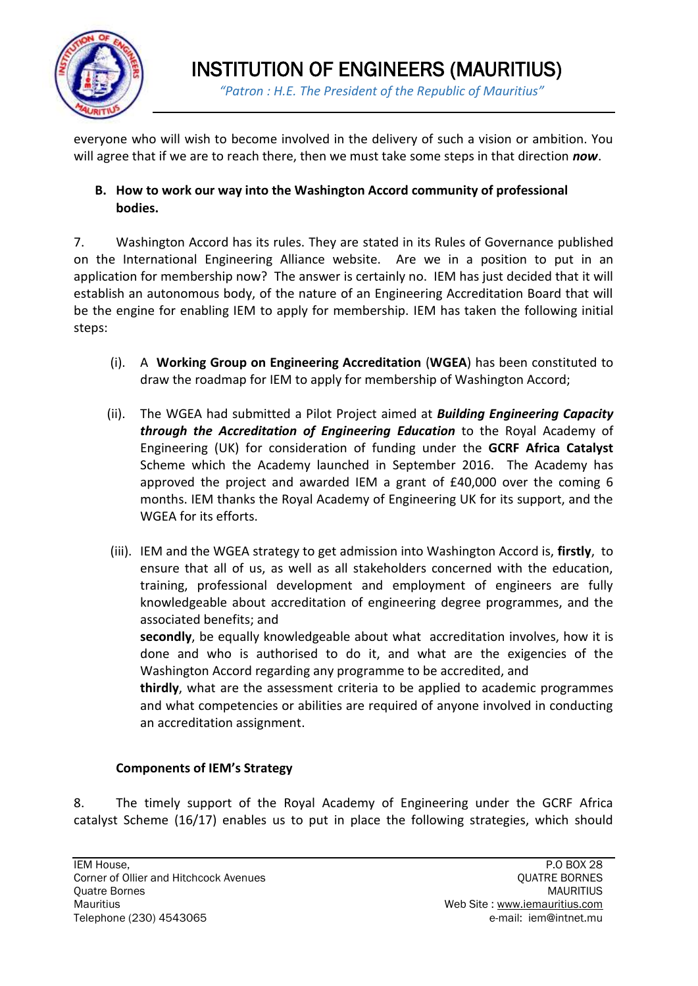

everyone who will wish to become involved in the delivery of such a vision or ambition. You will agree that if we are to reach there, then we must take some steps in that direction *now*.

# **B. How to work our way into the Washington Accord community of professional bodies.**

7. Washington Accord has its rules. They are stated in its Rules of Governance published on the International Engineering Alliance website. Are we in a position to put in an application for membership now? The answer is certainly no. IEM has just decided that it will establish an autonomous body, of the nature of an Engineering Accreditation Board that will be the engine for enabling IEM to apply for membership. IEM has taken the following initial steps:

- (i). A **Working Group on Engineering Accreditation** (**WGEA**) has been constituted to draw the roadmap for IEM to apply for membership of Washington Accord;
- (ii). The WGEA had submitted a Pilot Project aimed at *Building Engineering Capacity through the Accreditation of Engineering Education* to the Royal Academy of Engineering (UK) for consideration of funding under the **GCRF Africa Catalyst** Scheme which the Academy launched in September 2016. The Academy has approved the project and awarded IEM a grant of £40,000 over the coming 6 months. IEM thanks the Royal Academy of Engineering UK for its support, and the WGEA for its efforts.
- (iii). IEM and the WGEA strategy to get admission into Washington Accord is, **firstly**, to ensure that all of us, as well as all stakeholders concerned with the education, training, professional development and employment of engineers are fully knowledgeable about accreditation of engineering degree programmes, and the associated benefits; and

**secondly**, be equally knowledgeable about what accreditation involves, how it is done and who is authorised to do it, and what are the exigencies of the Washington Accord regarding any programme to be accredited, and

**thirdly**, what are the assessment criteria to be applied to academic programmes and what competencies or abilities are required of anyone involved in conducting an accreditation assignment.

# **Components of IEM's Strategy**

8. The timely support of the Royal Academy of Engineering under the GCRF Africa catalyst Scheme (16/17) enables us to put in place the following strategies, which should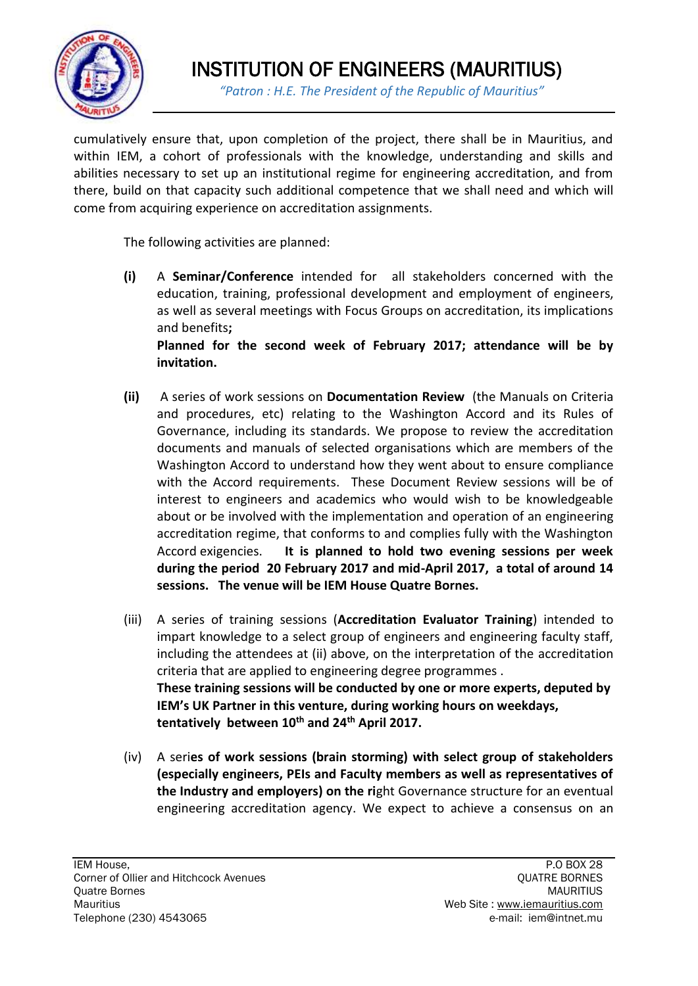

cumulatively ensure that, upon completion of the project, there shall be in Mauritius, and within IEM, a cohort of professionals with the knowledge, understanding and skills and abilities necessary to set up an institutional regime for engineering accreditation, and from there, build on that capacity such additional competence that we shall need and which will come from acquiring experience on accreditation assignments.

The following activities are planned:

**(i)** A **Seminar/Conference** intended for all stakeholders concerned with the education, training, professional development and employment of engineers, as well as several meetings with Focus Groups on accreditation, its implications and benefits**;** 

**Planned for the second week of February 2017; attendance will be by invitation.** 

- **(ii)** A series of work sessions on **Documentation Review** (the Manuals on Criteria and procedures, etc) relating to the Washington Accord and its Rules of Governance, including its standards. We propose to review the accreditation documents and manuals of selected organisations which are members of the Washington Accord to understand how they went about to ensure compliance with the Accord requirements. These Document Review sessions will be of interest to engineers and academics who would wish to be knowledgeable about or be involved with the implementation and operation of an engineering accreditation regime, that conforms to and complies fully with the Washington Accord exigencies. **It is planned to hold two evening sessions per week during the period 20 February 2017 and mid-April 2017, a total of around 14 sessions. The venue will be IEM House Quatre Bornes.**
- (iii) A series of training sessions (**Accreditation Evaluator Training**) intended to impart knowledge to a select group of engineers and engineering faculty staff, including the attendees at (ii) above, on the interpretation of the accreditation criteria that are applied to engineering degree programmes . **These training sessions will be conducted by one or more experts, deputed by IEM's UK Partner in this venture, during working hours on weekdays, tentatively between 10th and 24th April 2017.**
- (iv) A seri**es of work sessions (brain storming) with select group of stakeholders (especially engineers, PEIs and Faculty members as well as representatives of the Industry and employers) on the ri**ght Governance structure for an eventual engineering accreditation agency. We expect to achieve a consensus on an